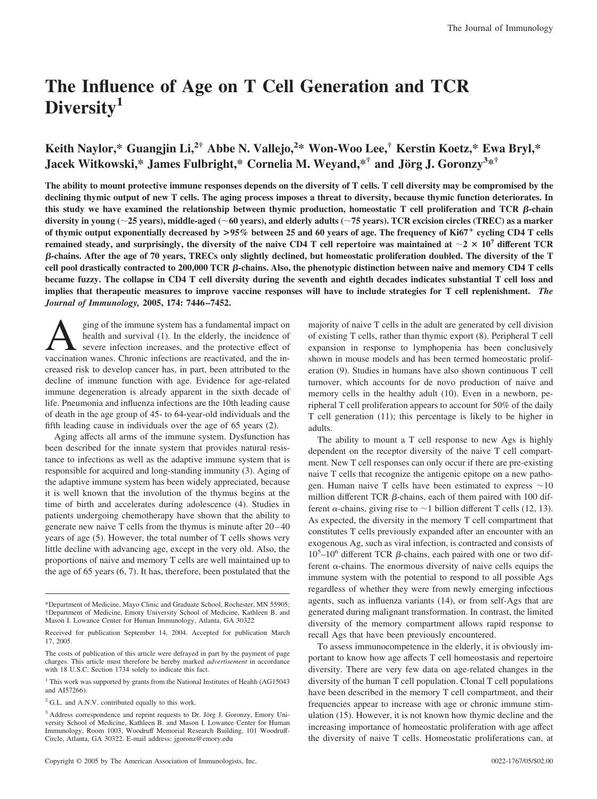# **The Influence of Age on T Cell Generation and TCR Diversity1**

# **Keith Naylor,\* Guangjin Li,2† Abbe N. Vallejo,<sup>2</sup> \* Won-Woo Lee,† Kerstin Koetz,\* Ewa Bryl,\* Jacek Witkowski,\* James Fulbright,\* Cornelia M. Weyand,\*† and Jo¨rg J. Goronzy<sup>3</sup> \*†**

**The ability to mount protective immune responses depends on the diversity of T cells. T cell diversity may be compromised by the declining thymic output of new T cells. The aging process imposes a threat to diversity, because thymic function deteriorates. In** this study we have examined the relationship between thymic production, homeostatic  $T$  cell proliferation and  $TCR$   $\beta$ -chain **diversity in young (25 years), middle-aged (60 years), and elderly adults (75 years). TCR excision circles (TREC) as a marker of thymic output exponentially decreased by >95% between 25 and 60 years of age. The frequency of Ki67**- **cycling CD4 T cells remained steady, and surprisingly, the diversity of the naive CD4 T cell repertoire was maintained at**  $\sim$  $2 \times 10^7$  **different TCR -chains. After the age of 70 years, TRECs only slightly declined, but homeostatic proliferation doubled. The diversity of the T cell pool drastically contracted to 200,000 TCR -chains. Also, the phenotypic distinction between naive and memory CD4 T cells became fuzzy. The collapse in CD4 T cell diversity during the seventh and eighth decades indicates substantial T cell loss and implies that therapeutic measures to improve vaccine responses will have to include strategies for T cell replenishment.** *The Journal of Immunology,* **2005, 174: 7446 –7452.**

Sing of the immune system has a fundamental impact on<br>health and survival (1). In the elderly, the incidence of<br>severe infection increases, and the protective effect of<br>vaccination wanes. Chronic infections are reactivated health and survival (1). In the elderly, the incidence of severe infection increases, and the protective effect of vaccination wanes. Chronic infections are reactivated, and the increased risk to develop cancer has, in part, been attributed to the decline of immune function with age. Evidence for age-related immune degeneration is already apparent in the sixth decade of life. Pneumonia and influenza infections are the 10th leading cause of death in the age group of 45- to 64-year-old individuals and the fifth leading cause in individuals over the age of 65 years (2).

Aging affects all arms of the immune system. Dysfunction has been described for the innate system that provides natural resistance to infections as well as the adaptive immune system that is responsible for acquired and long-standing immunity (3). Aging of the adaptive immune system has been widely appreciated, because it is well known that the involution of the thymus begins at the time of birth and accelerates during adolescence (4). Studies in patients undergoing chemotherapy have shown that the ability to generate new naive T cells from the thymus is minute after 20 – 40 years of age (5). However, the total number of T cells shows very little decline with advancing age, except in the very old. Also, the proportions of naive and memory T cells are well maintained up to the age of 65 years (6, 7). It has, therefore, been postulated that the

majority of naive T cells in the adult are generated by cell division of existing T cells, rather than thymic export (8). Peripheral T cell expansion in response to lymphopenia has been conclusively shown in mouse models and has been termed homeostatic proliferation (9). Studies in humans have also shown continuous T cell turnover, which accounts for de novo production of naive and memory cells in the healthy adult (10). Even in a newborn, peripheral T cell proliferation appears to account for 50% of the daily T cell generation (11); this percentage is likely to be higher in adults.

The ability to mount a T cell response to new Ags is highly dependent on the receptor diversity of the naive T cell compartment. New T cell responses can only occur if there are pre-existing naive T cells that recognize the antigenic epitope on a new pathogen. Human naive T cells have been estimated to express  $\sim 10$ million different TCR  $\beta$ -chains, each of them paired with 100 different  $\alpha$ -chains, giving rise to  $\sim$ 1 billion different T cells (12, 13). As expected, the diversity in the memory T cell compartment that constitutes T cells previously expanded after an encounter with an exogenous Ag, such as viral infection, is contracted and consists of  $10^5 - 10^6$  different TCR  $\beta$ -chains, each paired with one or two different  $\alpha$ -chains. The enormous diversity of naive cells equips the immune system with the potential to respond to all possible Ags regardless of whether they were from newly emerging infectious agents, such as influenza variants (14), or from self-Ags that are generated during malignant transformation. In contrast, the limited diversity of the memory compartment allows rapid response to recall Ags that have been previously encountered.

To assess immunocompetence in the elderly, it is obviously important to know how age affects T cell homeostasis and repertoire diversity. There are very few data on age-related changes in the diversity of the human T cell population. Clonal T cell populations have been described in the memory T cell compartment, and their frequencies appear to increase with age or chronic immune stimulation (15). However, it is not known how thymic decline and the increasing importance of homeostatic proliferation with age affect the diversity of naive T cells. Homeostatic proliferations can, at

<sup>\*</sup>Department of Medicine, Mayo Clinic and Graduate School, Rochester, MN 55905; †Department of Medicine, Emory University School of Medicine, Kathleen B. and Mason I. Lowance Center for Human Immunology, Atlanta, GA 30322

Received for publication September 14, 2004. Accepted for publication March 17, 2005.

The costs of publication of this article were defrayed in part by the payment of page charges. This article must therefore be hereby marked *advertisement* in accordance with 18 U.S.C. Section 1734 solely to indicate this fact.

<sup>&</sup>lt;sup>1</sup> This work was supported by grants from the National Institutes of Health (AG15043 and AI57266).

<sup>&</sup>lt;sup>2</sup> G.L. and A.N.V. contributed equally to this work.

<sup>&</sup>lt;sup>3</sup> Address correspondence and reprint requests to Dr. Jörg J. Goronzy, Emory University School of Medicine, Kathleen B. and Mason I. Lowance Center for Human Immunology, Room 1003, Woodruff Memorial Research Building, 101 Woodruff-Circle, Atlanta, GA 30322. E-mail address: jgoronz@emory.edu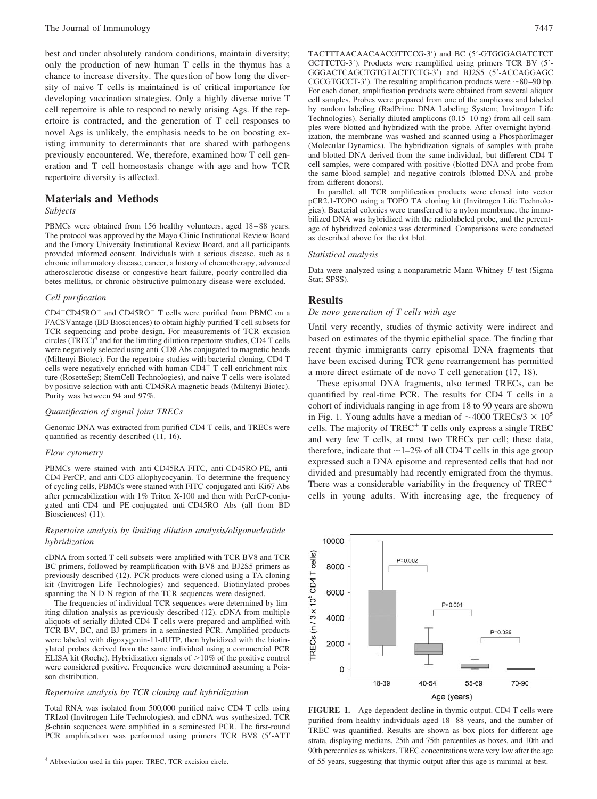best and under absolutely random conditions, maintain diversity; only the production of new human T cells in the thymus has a chance to increase diversity. The question of how long the diversity of naive T cells is maintained is of critical importance for developing vaccination strategies. Only a highly diverse naive T cell repertoire is able to respond to newly arising Ags. If the repertoire is contracted, and the generation of T cell responses to novel Ags is unlikely, the emphasis needs to be on boosting existing immunity to determinants that are shared with pathogens previously encountered. We, therefore, examined how T cell generation and T cell homeostasis change with age and how TCR repertoire diversity is affected.

# **Materials and Methods**

# *Subjects*

PBMCs were obtained from 156 healthy volunteers, aged 18-88 years. The protocol was approved by the Mayo Clinic Institutional Review Board and the Emory University Institutional Review Board, and all participants provided informed consent. Individuals with a serious disease, such as a chronic inflammatory disease, cancer, a history of chemotherapy, advanced atherosclerotic disease or congestive heart failure, poorly controlled diabetes mellitus, or chronic obstructive pulmonary disease were excluded.

#### *Cell purification*

CD4<sup>+</sup>CD45RO<sup>+</sup> and CD45RO<sup>-</sup> T cells were purified from PBMC on a FACSVantage (BD Biosciences) to obtain highly purified T cell subsets for TCR sequencing and probe design. For measurements of TCR excision circles  $(TREC)^4$  and for the limiting dilution repertoire studies,  $CD4T$  cells were negatively selected using anti-CD8 Abs conjugated to magnetic beads (Miltenyi Biotec). For the repertoire studies with bacterial cloning, CD4 T cells were negatively enriched with human CD4<sup>+</sup> T cell enrichment mixture (RosetteSep; StemCell Technologies), and naive T cells were isolated by positive selection with anti-CD45RA magnetic beads (Miltenyi Biotec). Purity was between 94 and 97%.

#### *Quantification of signal joint TRECs*

Genomic DNA was extracted from purified CD4 T cells, and TRECs were quantified as recently described (11, 16).

#### *Flow cytometry*

PBMCs were stained with anti-CD45RA-FITC, anti-CD45RO-PE, anti-CD4-PerCP, and anti-CD3-allophycocyanin. To determine the frequency of cycling cells, PBMCs were stained with FITC-conjugated anti-Ki67 Abs after permeabilization with 1% Triton X-100 and then with PerCP-conjugated anti-CD4 and PE-conjugated anti-CD45RO Abs (all from BD Biosciences) (11).

#### *Repertoire analysis by limiting dilution analysis/oligonucleotide hybridization*

cDNA from sorted T cell subsets were amplified with TCR BV8 and TCR BC primers, followed by reamplification with BV8 and BJ2S5 primers as previously described (12). PCR products were cloned using a TA cloning kit (Invitrogen Life Technologies) and sequenced. Biotinylated probes spanning the N-D-N region of the TCR sequences were designed.

The frequencies of individual TCR sequences were determined by limiting dilution analysis as previously described (12). cDNA from multiple aliquots of serially diluted CD4 T cells were prepared and amplified with TCR BV, BC, and BJ primers in a seminested PCR. Amplified products were labeled with digoxygenin-11-dUTP, then hybridized with the biotinylated probes derived from the same individual using a commercial PCR ELISA kit (Roche). Hybridization signals of  $>10\%$  of the positive control were considered positive. Frequencies were determined assuming a Poisson distribution.

#### *Repertoire analysis by TCR cloning and hybridization*

Total RNA was isolated from 500,000 purified naive CD4 T cells using TRIzol (Invitrogen Life Technologies), and cDNA was synthesized. TCR  $\beta$ -chain sequences were amplified in a seminested PCR. The first-round PCR amplification was performed using primers TCR BV8 (5-ATT TACTTTAACAACAACGTTCCG-3) and BC (5-GTGGGAGATCTCT GCTTCTG-3). Products were reamplified using primers TCR BV (5- GGGACTCAGCTGTGTACTTCTG-3) and BJ2S5 (5-ACCAGGAGC CGCGTGCCT-3'). The resulting amplification products were  $\sim$ 80-90 bp. For each donor, amplification products were obtained from several aliquot cell samples. Probes were prepared from one of the amplicons and labeled by random labeling (RadPrime DNA Labeling System; Invitrogen Life Technologies). Serially diluted amplicons (0.15–10 ng) from all cell samples were blotted and hybridized with the probe. After overnight hybridization, the membrane was washed and scanned using a PhosphorImager (Molecular Dynamics). The hybridization signals of samples with probe and blotted DNA derived from the same individual, but different CD4 T cell samples, were compared with positive (blotted DNA and probe from the same blood sample) and negative controls (blotted DNA and probe from different donors).

In parallel, all TCR amplification products were cloned into vector pCR2.1-TOPO using a TOPO TA cloning kit (Invitrogen Life Technologies). Bacterial colonies were transferred to a nylon membrane, the immobilized DNA was hybridized with the radiolabeled probe, and the percentage of hybridized colonies was determined. Comparisons were conducted as described above for the dot blot.

#### *Statistical analysis*

Data were analyzed using a nonparametric Mann-Whitney *U* test (Sigma Stat; SPSS).

#### **Results**

#### *De novo generation of T cells with age*

Until very recently, studies of thymic activity were indirect and based on estimates of the thymic epithelial space. The finding that recent thymic immigrants carry episomal DNA fragments that have been excised during TCR gene rearrangement has permitted a more direct estimate of de novo T cell generation (17, 18).

These episomal DNA fragments, also termed TRECs, can be quantified by real-time PCR. The results for CD4 T cells in a cohort of individuals ranging in age from 18 to 90 years are shown in Fig. 1. Young adults have a median of  $\sim$ 4000 TRECs/3  $\times$  10<sup>5</sup> cells. The majority of TREC<sup>+</sup> T cells only express a single TREC and very few T cells, at most two TRECs per cell; these data, therefore, indicate that  $\sim$  1–2% of all CD4 T cells in this age group expressed such a DNA episome and represented cells that had not divided and presumably had recently emigrated from the thymus. There was a considerable variability in the frequency of TREC<sup>+</sup> cells in young adults. With increasing age, the frequency of

Age (years) **FIGURE 1.** Age-dependent decline in thymic output. CD4 T cells were purified from healthy individuals aged 18 – 88 years, and the number of TREC was quantified. Results are shown as box plots for different age strata, displaying medians, 25th and 75th percentiles as boxes, and 10th and 90th percentiles as whiskers. TREC concentrations were very low after the age of 55 years, suggesting that thymic output after this age is minimal at best.



<sup>4</sup> Abbreviation used in this paper: TREC, TCR excision circle.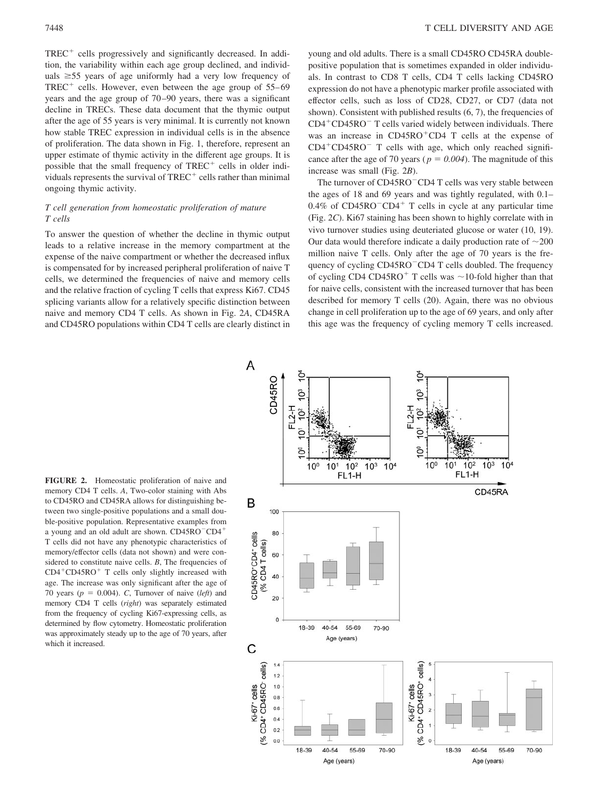7448 T CELL DIVERSITY AND AGE

TREC- cells progressively and significantly decreased. In addition, the variability within each age group declined, and individuals  $\geq 55$  years of age uniformly had a very low frequency of  $TREC^+$  cells. However, even between the age group of  $55-69$ years and the age group of 70 –90 years, there was a significant decline in TRECs. These data document that the thymic output after the age of 55 years is very minimal. It is currently not known how stable TREC expression in individual cells is in the absence of proliferation. The data shown in Fig. 1, therefore, represent an upper estimate of thymic activity in the different age groups. It is possible that the small frequency of TREC<sup>+</sup> cells in older individuals represents the survival of  $TREC^+$  cells rather than minimal ongoing thymic activity.

# *T cell generation from homeostatic proliferation of mature T cells*

To answer the question of whether the decline in thymic output leads to a relative increase in the memory compartment at the expense of the naive compartment or whether the decreased influx is compensated for by increased peripheral proliferation of naive T cells, we determined the frequencies of naive and memory cells and the relative fraction of cycling T cells that express Ki67. CD45 splicing variants allow for a relatively specific distinction between naive and memory CD4 T cells. As shown in Fig. 2*A*, CD45RA and CD45RO populations within CD4 T cells are clearly distinct in young and old adults. There is a small CD45RO CD45RA doublepositive population that is sometimes expanded in older individuals. In contrast to CD8 T cells, CD4 T cells lacking CD45RO expression do not have a phenotypic marker profile associated with effector cells, such as loss of CD28, CD27, or CD7 (data not shown). Consistent with published results  $(6, 7)$ , the frequencies of CD4-CD45RO T cells varied widely between individuals. There was an increase in CD45RO<sup>+</sup>CD4 T cells at the expense of CD4<sup>+</sup>CD45RO<sup>-</sup> T cells with age, which only reached significance after the age of 70 years ( $p = 0.004$ ). The magnitude of this increase was small (Fig. 2*B*).

The turnover of CD45RO<sup>-</sup>CD4 T cells was very stable between the ages of 18 and 69 years and was tightly regulated, with 0.1–  $0.4\%$  of CD45RO<sup>-</sup>CD4<sup>+</sup> T cells in cycle at any particular time (Fig. 2*C*). Ki67 staining has been shown to highly correlate with in vivo turnover studies using deuteriated glucose or water (10, 19). Our data would therefore indicate a daily production rate of  $\sim$ 200 million naive T cells. Only after the age of 70 years is the frequency of cycling CD45RO<sup>-</sup>CD4 T cells doubled. The frequency of cycling CD4 CD45RO<sup>+</sup> T cells was  $\sim$  10-fold higher than that for naive cells, consistent with the increased turnover that has been described for memory T cells (20). Again, there was no obvious change in cell proliferation up to the age of 69 years, and only after this age was the frequency of cycling memory T cells increased.

**FIGURE 2.** Homeostatic proliferation of naive and memory CD4 T cells. *A*, Two-color staining with Abs to CD45RO and CD45RA allows for distinguishing between two single-positive populations and a small double-positive population. Representative examples from a young and an old adult are shown. CD45RO<sup>-</sup>CD4<sup>+</sup> T cells did not have any phenotypic characteristics of memory/effector cells (data not shown) and were considered to constitute naive cells. *B*, The frequencies of CD4<sup>+</sup>CD45RO<sup>+</sup> T cells only slightly increased with age. The increase was only significant after the age of 70 years ( $p = 0.004$ ). *C*, Turnover of naive (*left*) and memory CD4 T cells (*right*) was separately estimated from the frequency of cycling Ki67-expressing cells, as determined by flow cytometry. Homeostatic proliferation was approximately steady up to the age of 70 years, after which it increased.

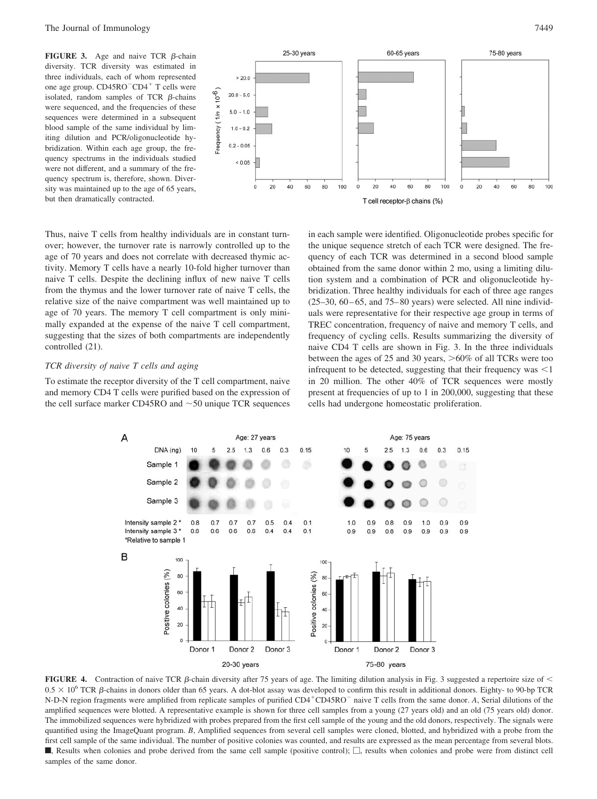**FIGURE 3.** Age and naive TCR  $\beta$ -chain diversity. TCR diversity was estimated in three individuals, each of whom represented one age group. CD45RO<sup>-</sup>CD4<sup>+</sup> T cells were isolated, random samples of TCR  $\beta$ -chains were sequenced, and the frequencies of these sequences were determined in a subsequent blood sample of the same individual by limiting dilution and PCR/oligonucleotide hybridization. Within each age group, the frequency spectrums in the individuals studied were not different, and a summary of the frequency spectrum is, therefore, shown. Diversity was maintained up to the age of 65 years, but then dramatically contracted.





Thus, naive T cells from healthy individuals are in constant turnover; however, the turnover rate is narrowly controlled up to the age of 70 years and does not correlate with decreased thymic activity. Memory T cells have a nearly 10-fold higher turnover than naive T cells. Despite the declining influx of new naive T cells from the thymus and the lower turnover rate of naive T cells, the relative size of the naive compartment was well maintained up to age of 70 years. The memory T cell compartment is only minimally expanded at the expense of the naive T cell compartment, suggesting that the sizes of both compartments are independently controlled (21).

## *TCR diversity of naive T cells and aging*

To estimate the receptor diversity of the T cell compartment, naive and memory CD4 T cells were purified based on the expression of the cell surface marker CD45RO and  $\sim$  50 unique TCR sequences in each sample were identified. Oligonucleotide probes specific for the unique sequence stretch of each TCR were designed. The frequency of each TCR was determined in a second blood sample obtained from the same donor within 2 mo, using a limiting dilution system and a combination of PCR and oligonucleotide hybridization. Three healthy individuals for each of three age ranges  $(25-30, 60-65, and 75-80 years)$  were selected. All nine individuals were representative for their respective age group in terms of TREC concentration, frequency of naive and memory T cells, and frequency of cycling cells. Results summarizing the diversity of naive CD4 T cells are shown in Fig. 3. In the three individuals between the ages of 25 and 30 years,  $>60\%$  of all TCRs were too infrequent to be detected, suggesting that their frequency was  $\leq 1$ in 20 million. The other 40% of TCR sequences were mostly present at frequencies of up to 1 in 200,000, suggesting that these cells had undergone homeostatic proliferation.



**FIGURE 4.** Contraction of naive TCR  $\beta$ -chain diversity after 75 years of age. The limiting dilution analysis in Fig. 3 suggested a repertoire size of  $\leq$  $0.5 \times 10^6$  TCR  $\beta$ -chains in donors older than 65 years. A dot-blot assay was developed to confirm this result in additional donors. Eighty- to 90-bp TCR N-D-N region fragments were amplified from replicate samples of purified CD4<sup>+</sup>CD45RO<sup>-</sup> naive T cells from the same donor. *A*, Serial dilutions of the amplified sequences were blotted. A representative example is shown for three cell samples from a young (27 years old) and an old (75 years old) donor. The immobilized sequences were hybridized with probes prepared from the first cell sample of the young and the old donors, respectively. The signals were quantified using the ImageQuant program. *B*, Amplified sequences from several cell samples were cloned, blotted, and hybridized with a probe from the first cell sample of the same individual. The number of positive colonies was counted, and results are expressed as the mean percentage from several blots. **Results** when colonies and probe derived from the same cell sample (positive control);  $\Box$ , results when colonies and probe were from distinct cell samples of the same donor.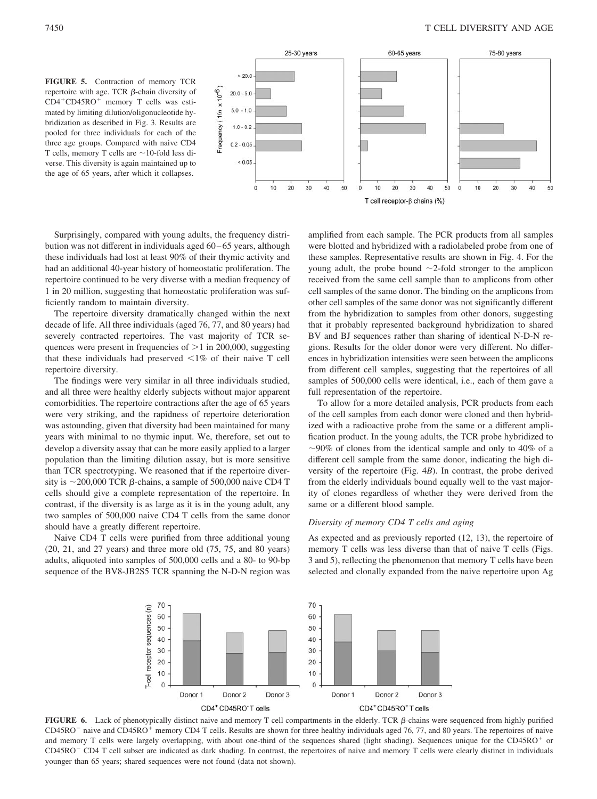



Surprisingly, compared with young adults, the frequency distribution was not different in individuals aged 60 – 65 years, although these individuals had lost at least 90% of their thymic activity and had an additional 40-year history of homeostatic proliferation. The repertoire continued to be very diverse with a median frequency of 1 in 20 million, suggesting that homeostatic proliferation was sufficiently random to maintain diversity.

The repertoire diversity dramatically changed within the next decade of life. All three individuals (aged 76, 77, and 80 years) had severely contracted repertoires. The vast majority of TCR sequences were present in frequencies of  $>1$  in 200,000, suggesting that these individuals had preserved  $\leq 1\%$  of their naive T cell repertoire diversity.

The findings were very similar in all three individuals studied, and all three were healthy elderly subjects without major apparent comorbidities. The repertoire contractions after the age of 65 years were very striking, and the rapidness of repertoire deterioration was astounding, given that diversity had been maintained for many years with minimal to no thymic input. We, therefore, set out to develop a diversity assay that can be more easily applied to a larger population than the limiting dilution assay, but is more sensitive than TCR spectrotyping. We reasoned that if the repertoire diversity is  $\sim$  200,000 TCR  $\beta$ -chains, a sample of 500,000 naive CD4 T cells should give a complete representation of the repertoire. In contrast, if the diversity is as large as it is in the young adult, any two samples of 500,000 naive CD4 T cells from the same donor should have a greatly different repertoire.

Naive CD4 T cells were purified from three additional young (20, 21, and 27 years) and three more old (75, 75, and 80 years) adults, aliquoted into samples of 500,000 cells and a 80- to 90-bp sequence of the BV8-JB2S5 TCR spanning the N-D-N region was amplified from each sample. The PCR products from all samples were blotted and hybridized with a radiolabeled probe from one of these samples. Representative results are shown in Fig. 4. For the young adult, the probe bound  $\sim$ 2-fold stronger to the amplicon received from the same cell sample than to amplicons from other cell samples of the same donor. The binding on the amplicons from other cell samples of the same donor was not significantly different from the hybridization to samples from other donors, suggesting that it probably represented background hybridization to shared BV and BJ sequences rather than sharing of identical N-D-N regions. Results for the older donor were very different. No differences in hybridization intensities were seen between the amplicons from different cell samples, suggesting that the repertoires of all samples of 500,000 cells were identical, i.e., each of them gave a full representation of the repertoire.

To allow for a more detailed analysis, PCR products from each of the cell samples from each donor were cloned and then hybridized with a radioactive probe from the same or a different amplification product. In the young adults, the TCR probe hybridized to  $\sim$ 90% of clones from the identical sample and only to 40% of a different cell sample from the same donor, indicating the high diversity of the repertoire (Fig. 4*B*). In contrast, the probe derived from the elderly individuals bound equally well to the vast majority of clones regardless of whether they were derived from the same or a different blood sample.

# *Diversity of memory CD4 T cells and aging*

As expected and as previously reported (12, 13), the repertoire of memory T cells was less diverse than that of naive T cells (Figs. 3 and 5), reflecting the phenomenon that memory T cells have been selected and clonally expanded from the naive repertoire upon Ag



**FIGURE 6.** Lack of phenotypically distinct naive and memory T cell compartments in the elderly. TCR  $\beta$ -chains were sequenced from highly purified CD45RO<sup>-</sup> naive and CD45RO<sup>+</sup> memory CD4 T cells. Results are shown for three healthy individuals aged 76, 77, and 80 years. The repertoires of naive and memory T cells were largely overlapping, with about one-third of the sequences shared (light shading). Sequences unique for the CD45RO<sup>+</sup> or CD45RO CD4 T cell subset are indicated as dark shading. In contrast, the repertoires of naive and memory T cells were clearly distinct in individuals younger than 65 years; shared sequences were not found (data not shown).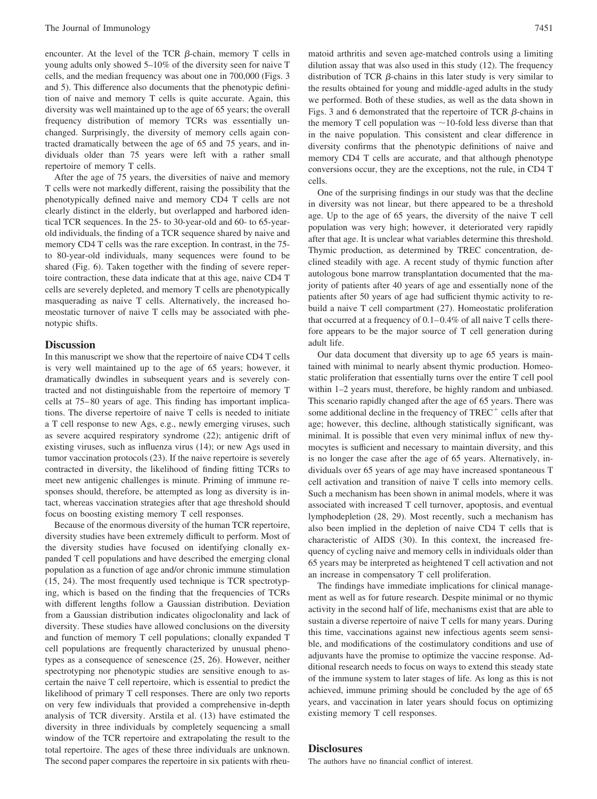encounter. At the level of the TCR  $\beta$ -chain, memory T cells in young adults only showed 5–10% of the diversity seen for naive T cells, and the median frequency was about one in 700,000 (Figs. 3 and 5). This difference also documents that the phenotypic definition of naive and memory T cells is quite accurate. Again, this diversity was well maintained up to the age of 65 years; the overall frequency distribution of memory TCRs was essentially unchanged. Surprisingly, the diversity of memory cells again contracted dramatically between the age of 65 and 75 years, and individuals older than 75 years were left with a rather small repertoire of memory T cells.

After the age of 75 years, the diversities of naive and memory T cells were not markedly different, raising the possibility that the phenotypically defined naive and memory CD4 T cells are not clearly distinct in the elderly, but overlapped and harbored identical TCR sequences. In the 25- to 30-year-old and 60- to 65-yearold individuals, the finding of a TCR sequence shared by naive and memory CD4 T cells was the rare exception. In contrast, in the 75 to 80-year-old individuals, many sequences were found to be shared (Fig. 6). Taken together with the finding of severe repertoire contraction, these data indicate that at this age, naive CD4 T cells are severely depleted, and memory T cells are phenotypically masquerading as naive T cells. Alternatively, the increased homeostatic turnover of naive T cells may be associated with phenotypic shifts.

## **Discussion**

In this manuscript we show that the repertoire of naive CD4 T cells is very well maintained up to the age of 65 years; however, it dramatically dwindles in subsequent years and is severely contracted and not distinguishable from the repertoire of memory T cells at 75– 80 years of age. This finding has important implications. The diverse repertoire of naive T cells is needed to initiate a T cell response to new Ags, e.g., newly emerging viruses, such as severe acquired respiratory syndrome (22); antigenic drift of existing viruses, such as influenza virus (14); or new Ags used in tumor vaccination protocols (23). If the naive repertoire is severely contracted in diversity, the likelihood of finding fitting TCRs to meet new antigenic challenges is minute. Priming of immune responses should, therefore, be attempted as long as diversity is intact, whereas vaccination strategies after that age threshold should focus on boosting existing memory T cell responses.

Because of the enormous diversity of the human TCR repertoire, diversity studies have been extremely difficult to perform. Most of the diversity studies have focused on identifying clonally expanded T cell populations and have described the emerging clonal population as a function of age and/or chronic immune stimulation (15, 24). The most frequently used technique is TCR spectrotyping, which is based on the finding that the frequencies of TCRs with different lengths follow a Gaussian distribution. Deviation from a Gaussian distribution indicates oligoclonality and lack of diversity. These studies have allowed conclusions on the diversity and function of memory T cell populations; clonally expanded T cell populations are frequently characterized by unusual phenotypes as a consequence of senescence (25, 26). However, neither spectrotyping nor phenotypic studies are sensitive enough to ascertain the naive T cell repertoire, which is essential to predict the likelihood of primary T cell responses. There are only two reports on very few individuals that provided a comprehensive in-depth analysis of TCR diversity. Arstila et al. (13) have estimated the diversity in three individuals by completely sequencing a small window of the TCR repertoire and extrapolating the result to the total repertoire. The ages of these three individuals are unknown. The second paper compares the repertoire in six patients with rheumatoid arthritis and seven age-matched controls using a limiting dilution assay that was also used in this study (12). The frequency distribution of TCR  $\beta$ -chains in this later study is very similar to the results obtained for young and middle-aged adults in the study we performed. Both of these studies, as well as the data shown in Figs. 3 and 6 demonstrated that the repertoire of TCR  $\beta$ -chains in the memory T cell population was  $\sim$  10-fold less diverse than that in the naive population. This consistent and clear difference in diversity confirms that the phenotypic definitions of naive and memory CD4 T cells are accurate, and that although phenotype conversions occur, they are the exceptions, not the rule, in CD4 T cells.

One of the surprising findings in our study was that the decline in diversity was not linear, but there appeared to be a threshold age. Up to the age of 65 years, the diversity of the naive T cell population was very high; however, it deteriorated very rapidly after that age. It is unclear what variables determine this threshold. Thymic production, as determined by TREC concentration, declined steadily with age. A recent study of thymic function after autologous bone marrow transplantation documented that the majority of patients after 40 years of age and essentially none of the patients after 50 years of age had sufficient thymic activity to rebuild a naive T cell compartment (27). Homeostatic proliferation that occurred at a frequency of  $0.1-0.4\%$  of all naive T cells therefore appears to be the major source of T cell generation during adult life.

Our data document that diversity up to age 65 years is maintained with minimal to nearly absent thymic production. Homeostatic proliferation that essentially turns over the entire T cell pool within 1–2 years must, therefore, be highly random and unbiased. This scenario rapidly changed after the age of 65 years. There was some additional decline in the frequency of TREC<sup>+</sup> cells after that age; however, this decline, although statistically significant, was minimal. It is possible that even very minimal influx of new thymocytes is sufficient and necessary to maintain diversity, and this is no longer the case after the age of 65 years. Alternatively, individuals over 65 years of age may have increased spontaneous T cell activation and transition of naive T cells into memory cells. Such a mechanism has been shown in animal models, where it was associated with increased T cell turnover, apoptosis, and eventual lymphodepletion (28, 29). Most recently, such a mechanism has also been implied in the depletion of naive CD4 T cells that is characteristic of AIDS (30). In this context, the increased frequency of cycling naive and memory cells in individuals older than 65 years may be interpreted as heightened T cell activation and not an increase in compensatory T cell proliferation.

The findings have immediate implications for clinical management as well as for future research. Despite minimal or no thymic activity in the second half of life, mechanisms exist that are able to sustain a diverse repertoire of naive T cells for many years. During this time, vaccinations against new infectious agents seem sensible, and modifications of the costimulatory conditions and use of adjuvants have the promise to optimize the vaccine response. Additional research needs to focus on ways to extend this steady state of the immune system to later stages of life. As long as this is not achieved, immune priming should be concluded by the age of 65 years, and vaccination in later years should focus on optimizing existing memory T cell responses.

## **Disclosures**

The authors have no financial conflict of interest.